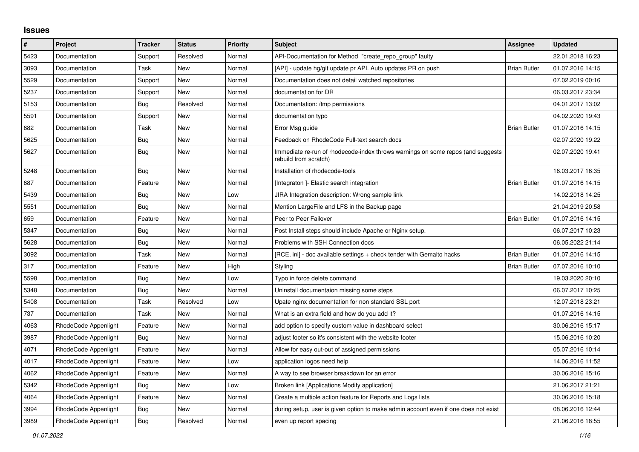## **Issues**

| $\pmb{\#}$ | Project              | <b>Tracker</b> | <b>Status</b> | <b>Priority</b> | <b>Subject</b>                                                                                           | Assignee            | <b>Updated</b>   |
|------------|----------------------|----------------|---------------|-----------------|----------------------------------------------------------------------------------------------------------|---------------------|------------------|
| 5423       | Documentation        | Support        | Resolved      | Normal          | API-Documentation for Method "create repo group" faulty                                                  |                     | 22.01.2018 16:23 |
| 3093       | Documentation        | Task           | New           | Normal          | [API] - update hg/git update pr API. Auto updates PR on push                                             | <b>Brian Butler</b> | 01.07.2016 14:15 |
| 5529       | Documentation        | Support        | New           | Normal          | Documentation does not detail watched repositories                                                       |                     | 07.02.2019 00:16 |
| 5237       | Documentation        | Support        | <b>New</b>    | Normal          | documentation for DR                                                                                     |                     | 06.03.2017 23:34 |
| 5153       | Documentation        | Bug            | Resolved      | Normal          | Documentation: /tmp permissions                                                                          |                     | 04.01.2017 13:02 |
| 5591       | Documentation        | Support        | <b>New</b>    | Normal          | documentation typo                                                                                       |                     | 04.02.2020 19:43 |
| 682        | Documentation        | Task           | New           | Normal          | Error Msg guide                                                                                          | <b>Brian Butler</b> | 01.07.2016 14:15 |
| 5625       | Documentation        | Bug            | New           | Normal          | Feedback on RhodeCode Full-text search docs                                                              |                     | 02.07.2020 19:22 |
| 5627       | Documentation        | Bug            | New           | Normal          | Immediate re-run of rhodecode-index throws warnings on some repos (and suggests<br>rebuild from scratch) |                     | 02.07.2020 19:41 |
| 5248       | Documentation        | Bug            | New           | Normal          | Installation of rhodecode-tools                                                                          |                     | 16.03.2017 16:35 |
| 687        | Documentation        | Feature        | New           | Normal          | [Integraton] - Elastic search integration                                                                | <b>Brian Butler</b> | 01.07.2016 14:15 |
| 5439       | Documentation        | Bug            | New           | Low             | JIRA Integration description: Wrong sample link                                                          |                     | 14.02.2018 14:25 |
| 5551       | Documentation        | Bug            | New           | Normal          | Mention LargeFile and LFS in the Backup page                                                             |                     | 21.04.2019 20:58 |
| 659        | Documentation        | Feature        | New           | Normal          | Peer to Peer Failover                                                                                    | <b>Brian Butler</b> | 01.07.2016 14:15 |
| 5347       | Documentation        | Bug            | New           | Normal          | Post Install steps should include Apache or Nginx setup.                                                 |                     | 06.07.2017 10:23 |
| 5628       | Documentation        | Bug            | New           | Normal          | Problems with SSH Connection docs                                                                        |                     | 06.05.2022 21:14 |
| 3092       | Documentation        | Task           | New           | Normal          | [RCE, ini] - doc available settings + check tender with Gemalto hacks                                    | <b>Brian Butler</b> | 01.07.2016 14:15 |
| 317        | Documentation        | Feature        | New           | High            | Styling                                                                                                  | <b>Brian Butler</b> | 07.07.2016 10:10 |
| 5598       | Documentation        | Bug            | New           | Low             | Typo in force delete command                                                                             |                     | 19.03.2020 20:10 |
| 5348       | Documentation        | <b>Bug</b>     | New           | Normal          | Uninstall documentaion missing some steps                                                                |                     | 06.07.2017 10:25 |
| 5408       | Documentation        | Task           | Resolved      | Low             | Upate nginx documentation for non standard SSL port                                                      |                     | 12.07.2018 23:21 |
| 737        | Documentation        | Task           | New           | Normal          | What is an extra field and how do you add it?                                                            |                     | 01.07.2016 14:15 |
| 4063       | RhodeCode Appenlight | Feature        | New           | Normal          | add option to specify custom value in dashboard select                                                   |                     | 30.06.2016 15:17 |
| 3987       | RhodeCode Appenlight | Bug            | New           | Normal          | adjust footer so it's consistent with the website footer                                                 |                     | 15.06.2016 10:20 |
| 4071       | RhodeCode Appenlight | Feature        | New           | Normal          | Allow for easy out-out of assigned permissions                                                           |                     | 05.07.2016 10:14 |
| 4017       | RhodeCode Appenlight | Feature        | New           | Low             | application logos need help                                                                              |                     | 14.06.2016 11:52 |
| 4062       | RhodeCode Appenlight | Feature        | New           | Normal          | A way to see browser breakdown for an error                                                              |                     | 30.06.2016 15:16 |
| 5342       | RhodeCode Appenlight | Bug            | New           | Low             | Broken link [Applications Modify application]                                                            |                     | 21.06.2017 21:21 |
| 4064       | RhodeCode Appenlight | Feature        | <b>New</b>    | Normal          | Create a multiple action feature for Reports and Logs lists                                              |                     | 30.06.2016 15:18 |
| 3994       | RhodeCode Appenlight | <b>Bug</b>     | New           | Normal          | during setup, user is given option to make admin account even if one does not exist                      |                     | 08.06.2016 12:44 |
| 3989       | RhodeCode Appenlight | <b>Bug</b>     | Resolved      | Normal          | even up report spacing                                                                                   |                     | 21.06.2016 18:55 |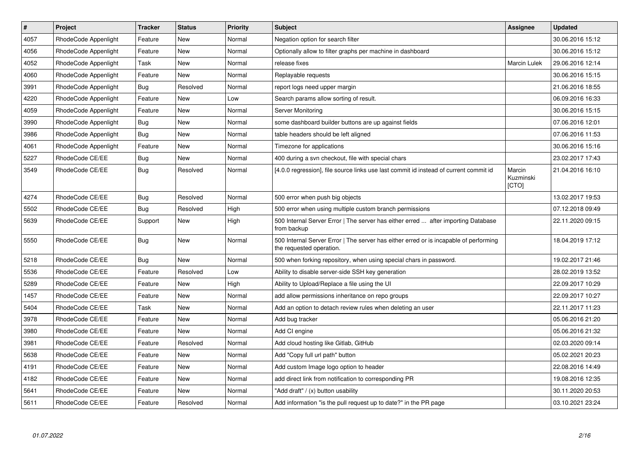| $\vert$ # | Project              | <b>Tracker</b> | <b>Status</b> | <b>Priority</b> | <b>Subject</b>                                                                                                    | Assignee                     | <b>Updated</b>   |
|-----------|----------------------|----------------|---------------|-----------------|-------------------------------------------------------------------------------------------------------------------|------------------------------|------------------|
| 4057      | RhodeCode Appenlight | Feature        | New           | Normal          | Negation option for search filter                                                                                 |                              | 30.06.2016 15:12 |
| 4056      | RhodeCode Appenlight | Feature        | New           | Normal          | Optionally allow to filter graphs per machine in dashboard                                                        |                              | 30.06.2016 15:12 |
| 4052      | RhodeCode Appenlight | Task           | New           | Normal          | release fixes                                                                                                     | Marcin Lulek                 | 29.06.2016 12:14 |
| 4060      | RhodeCode Appenlight | Feature        | New           | Normal          | Replayable requests                                                                                               |                              | 30.06.2016 15:15 |
| 3991      | RhodeCode Appenlight | <b>Bug</b>     | Resolved      | Normal          | report logs need upper margin                                                                                     |                              | 21.06.2016 18:55 |
| 4220      | RhodeCode Appenlight | Feature        | New           | Low             | Search params allow sorting of result.                                                                            |                              | 06.09.2016 16:33 |
| 4059      | RhodeCode Appenlight | Feature        | New           | Normal          | Server Monitoring                                                                                                 |                              | 30.06.2016 15:15 |
| 3990      | RhodeCode Appenlight | Bug            | <b>New</b>    | Normal          | some dashboard builder buttons are up against fields                                                              |                              | 07.06.2016 12:01 |
| 3986      | RhodeCode Appenlight | <b>Bug</b>     | New           | Normal          | table headers should be left aligned                                                                              |                              | 07.06.2016 11:53 |
| 4061      | RhodeCode Appenlight | Feature        | New           | Normal          | Timezone for applications                                                                                         |                              | 30.06.2016 15:16 |
| 5227      | RhodeCode CE/EE      | Bug            | New           | Normal          | 400 during a svn checkout, file with special chars                                                                |                              | 23.02.2017 17:43 |
| 3549      | RhodeCode CE/EE      | Bug            | Resolved      | Normal          | [4.0.0 regression], file source links use last commit id instead of current commit id                             | Marcin<br>Kuzminski<br>ןכדסן | 21.04.2016 16:10 |
| 4274      | RhodeCode CE/EE      | <b>Bug</b>     | Resolved      | Normal          | 500 error when push big objects                                                                                   |                              | 13.02.2017 19:53 |
| 5502      | RhodeCode CE/EE      | Bug            | Resolved      | High            | 500 error when using multiple custom branch permissions                                                           |                              | 07.12.2018 09:49 |
| 5639      | RhodeCode CE/EE      | Support        | New           | High            | 500 Internal Server Error   The server has either erred  after importing Database<br>from backup                  |                              | 22.11.2020 09:15 |
| 5550      | RhodeCode CE/EE      | Bug            | <b>New</b>    | Normal          | 500 Internal Server Error   The server has either erred or is incapable of performing<br>the requested operation. |                              | 18.04.2019 17:12 |
| 5218      | RhodeCode CE/EE      | Bug            | New           | Normal          | 500 when forking repository, when using special chars in password.                                                |                              | 19.02.2017 21:46 |
| 5536      | RhodeCode CE/EE      | Feature        | Resolved      | Low             | Ability to disable server-side SSH key generation                                                                 |                              | 28.02.2019 13:52 |
| 5289      | RhodeCode CE/EE      | Feature        | New           | High            | Ability to Upload/Replace a file using the UI                                                                     |                              | 22.09.2017 10:29 |
| 1457      | RhodeCode CE/EE      | Feature        | New           | Normal          | add allow permissions inheritance on repo groups                                                                  |                              | 22.09.2017 10:27 |
| 5404      | RhodeCode CE/EE      | Task           | New           | Normal          | Add an option to detach review rules when deleting an user                                                        |                              | 22.11.2017 11:23 |
| 3978      | RhodeCode CE/EE      | Feature        | New           | Normal          | Add bug tracker                                                                                                   |                              | 05.06.2016 21:20 |
| 3980      | RhodeCode CE/EE      | Feature        | New           | Normal          | Add CI engine                                                                                                     |                              | 05.06.2016 21:32 |
| 3981      | RhodeCode CE/EE      | Feature        | Resolved      | Normal          | Add cloud hosting like Gitlab, GitHub                                                                             |                              | 02.03.2020 09:14 |
| 5638      | RhodeCode CE/EE      | Feature        | <b>New</b>    | Normal          | Add "Copy full url path" button                                                                                   |                              | 05.02.2021 20:23 |
| 4191      | RhodeCode CE/EE      | Feature        | <b>New</b>    | Normal          | Add custom Image logo option to header                                                                            |                              | 22.08.2016 14:49 |
| 4182      | RhodeCode CE/EE      | Feature        | New           | Normal          | add direct link from notification to corresponding PR                                                             |                              | 19.08.2016 12:35 |
| 5641      | RhodeCode CE/EE      | Feature        | New           | Normal          | "Add draft" / (x) button usability                                                                                |                              | 30.11.2020 20:53 |
| 5611      | RhodeCode CE/EE      | Feature        | Resolved      | Normal          | Add information "is the pull request up to date?" in the PR page                                                  |                              | 03.10.2021 23:24 |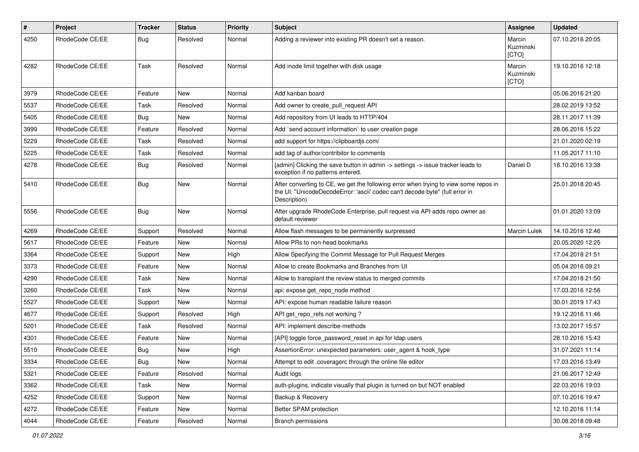| $\pmb{\#}$ | Project         | <b>Tracker</b> | <b>Status</b> | <b>Priority</b> | <b>Subject</b>                                                                                                                                                                       | Assignee                     | <b>Updated</b>   |
|------------|-----------------|----------------|---------------|-----------------|--------------------------------------------------------------------------------------------------------------------------------------------------------------------------------------|------------------------------|------------------|
| 4250       | RhodeCode CE/EE | <b>Bug</b>     | Resolved      | Normal          | Adding a reviewer into existing PR doesn't set a reason.                                                                                                                             | Marcin<br>Kuzminski<br>[CTO] | 07.10.2016 20:05 |
| 4282       | RhodeCode CE/EE | Task           | Resolved      | Normal          | Add inode limit together with disk usage                                                                                                                                             | Marcin<br>Kuzminski<br>[CTO] | 19.10.2016 12:18 |
| 3979       | RhodeCode CE/EE | Feature        | <b>New</b>    | Normal          | Add kanban board                                                                                                                                                                     |                              | 05.06.2016 21:20 |
| 5537       | RhodeCode CE/EE | Task           | Resolved      | Normal          | Add owner to create pull request API                                                                                                                                                 |                              | 28.02.2019 13:52 |
| 5405       | RhodeCode CE/EE | Bug            | New           | Normal          | Add repository from UI leads to HTTP/404                                                                                                                                             |                              | 28.11.2017 11:39 |
| 3999       | RhodeCode CE/EE | Feature        | Resolved      | Normal          | Add `send account information` to user creation page                                                                                                                                 |                              | 28.06.2016 15:22 |
| 5229       | RhodeCode CE/EE | Task           | Resolved      | Normal          | add support for https://clipboardjs.com/                                                                                                                                             |                              | 21.01.2020 02:19 |
| 5225       | RhodeCode CE/EE | Task           | Resolved      | Normal          | add tag of author/contribitor to comments                                                                                                                                            |                              | 11.05.2017 11:10 |
| 4278       | RhodeCode CE/EE | Bug            | Resolved      | Normal          | [admin] Clicking the save button in admin -> settings -> issue tracker leads to<br>exception if no patterns entered.                                                                 | Daniel D                     | 18.10.2016 13:38 |
| 5410       | RhodeCode CE/EE | <b>Bug</b>     | <b>New</b>    | Normal          | After converting to CE, we get the following error when trying to view some repos in<br>the UI: "UnicodeDecodeError: 'ascii' codec can't decode byte" (full error in<br>Description) |                              | 25.01.2018 20:45 |
| 5556       | RhodeCode CE/EE | Bug            | <b>New</b>    | Normal          | After upgrade RhodeCode Enterprise, pull request via API adds repo owner as<br>default reviewer                                                                                      |                              | 01.01.2020 13:09 |
| 4269       | RhodeCode CE/EE | Support        | Resolved      | Normal          | Allow flash messages to be permanently surpressed                                                                                                                                    | <b>Marcin Lulek</b>          | 14.10.2016 12:46 |
| 5617       | RhodeCode CE/EE | Feature        | New           | Normal          | Allow PRs to non-head bookmarks                                                                                                                                                      |                              | 20.05.2020 12:25 |
| 3364       | RhodeCode CE/EE | Support        | New           | High            | Allow Specifying the Commit Message for Pull Request Merges                                                                                                                          |                              | 17.04.2018 21:51 |
| 3373       | RhodeCode CE/EE | Feature        | <b>New</b>    | Normal          | Allow to create Bookmarks and Branches from UI                                                                                                                                       |                              | 05.04.2016 09:21 |
| 4290       | RhodeCode CE/EE | Task           | New           | Normal          | Allow to transplant the review status to merged commits                                                                                                                              |                              | 17.04.2018 21:50 |
| 3260       | RhodeCode CE/EE | Task           | New           | Normal          | api: expose get_repo_node method                                                                                                                                                     |                              | 17.03.2016 12:56 |
| 5527       | RhodeCode CE/EE | Support        | <b>New</b>    | Normal          | API: expose human readable failure reason                                                                                                                                            |                              | 30.01.2019 17:43 |
| 4677       | RhodeCode CE/EE | Support        | Resolved      | High            | API get repo refs not working?                                                                                                                                                       |                              | 19.12.2016 11:46 |
| 5201       | RhodeCode CE/EE | Task           | Resolved      | Normal          | API: implement describe-methods                                                                                                                                                      |                              | 13.02.2017 15:57 |
| 4301       | RhodeCode CE/EE | Feature        | New           | Normal          | [API] toggle force password reset in api for Idap users                                                                                                                              |                              | 28.10.2016 15:43 |
| 5510       | RhodeCode CE/EE | Bug            | New           | High            | AssertionError: unexpected parameters: user agent & hook type                                                                                                                        |                              | 31.07.2021 11:14 |
| 3334       | RhodeCode CE/EE | <b>Bug</b>     | New           | Normal          | Attempt to edit .coveragerc through the online file editor                                                                                                                           |                              | 17.03.2016 13:49 |
| 5321       | RhodeCode CE/EE | Feature        | Resolved      | Normal          | Audit logs                                                                                                                                                                           |                              | 21.06.2017 12:49 |
| 3362       | RhodeCode CE/EE | Task           | New           | Normal          | auth-plugins, indicate visually that plugin is turned on but NOT enabled                                                                                                             |                              | 22.03.2016 19:03 |
| 4252       | RhodeCode CE/EE | Support        | New           | Normal          | Backup & Recovery                                                                                                                                                                    |                              | 07.10.2016 19:47 |
| 4272       | RhodeCode CE/EE | Feature        | New           | Normal          | Better SPAM protection                                                                                                                                                               |                              | 12.10.2016 11:14 |
| 4044       | RhodeCode CE/EE | Feature        | Resolved      | Normal          | <b>Branch permissions</b>                                                                                                                                                            |                              | 30.08.2018 09:48 |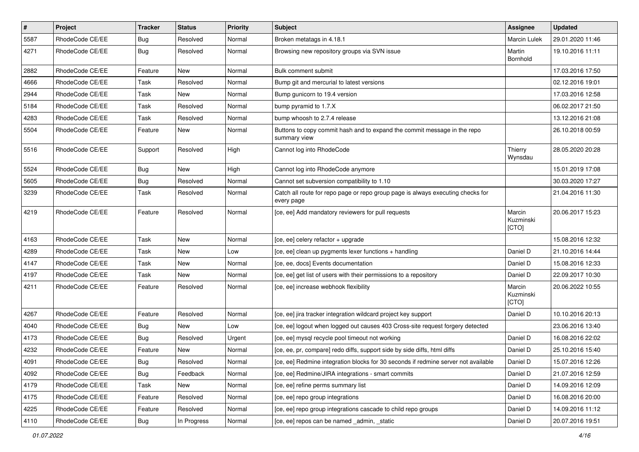| $\pmb{\#}$ | Project         | <b>Tracker</b> | <b>Status</b> | <b>Priority</b> | <b>Subject</b>                                                                                | <b>Assignee</b>              | <b>Updated</b>   |
|------------|-----------------|----------------|---------------|-----------------|-----------------------------------------------------------------------------------------------|------------------------------|------------------|
| 5587       | RhodeCode CE/EE | Bug            | Resolved      | Normal          | Broken metatags in 4.18.1                                                                     | <b>Marcin Lulek</b>          | 29.01.2020 11:46 |
| 4271       | RhodeCode CE/EE | Bug            | Resolved      | Normal          | Browsing new repository groups via SVN issue                                                  | Martin<br>Bornhold           | 19.10.2016 11:11 |
| 2882       | RhodeCode CE/EE | Feature        | New           | Normal          | Bulk comment submit                                                                           |                              | 17.03.2016 17:50 |
| 4666       | RhodeCode CE/EE | Task           | Resolved      | Normal          | Bump git and mercurial to latest versions                                                     |                              | 02.12.2016 19:01 |
| 2944       | RhodeCode CE/EE | Task           | New           | Normal          | Bump gunicorn to 19.4 version                                                                 |                              | 17.03.2016 12:58 |
| 5184       | RhodeCode CE/EE | Task           | Resolved      | Normal          | bump pyramid to 1.7.X                                                                         |                              | 06.02.2017 21:50 |
| 4283       | RhodeCode CE/EE | Task           | Resolved      | Normal          | bump whoosh to 2.7.4 release                                                                  |                              | 13.12.2016 21:08 |
| 5504       | RhodeCode CE/EE | Feature        | New           | Normal          | Buttons to copy commit hash and to expand the commit message in the repo<br>summary view      |                              | 26.10.2018 00:59 |
| 5516       | RhodeCode CE/EE | Support        | Resolved      | High            | Cannot log into RhodeCode                                                                     | Thierry<br>Wynsdau           | 28.05.2020 20:28 |
| 5524       | RhodeCode CE/EE | <b>Bug</b>     | <b>New</b>    | High            | Cannot log into RhodeCode anymore                                                             |                              | 15.01.2019 17:08 |
| 5605       | RhodeCode CE/EE | Bug            | Resolved      | Normal          | Cannot set subversion compatibility to 1.10                                                   |                              | 30.03.2020 17:27 |
| 3239       | RhodeCode CE/EE | Task           | Resolved      | Normal          | Catch all route for repo page or repo group page is always executing checks for<br>every page |                              | 21.04.2016 11:30 |
| 4219       | RhodeCode CE/EE | Feature        | Resolved      | Normal          | [ce, ee] Add mandatory reviewers for pull requests                                            | Marcin<br>Kuzminski<br>[CTO] | 20.06.2017 15:23 |
| 4163       | RhodeCode CE/EE | Task           | <b>New</b>    | Normal          | [ce, ee] celery refactor + upgrade                                                            |                              | 15.08.2016 12:32 |
| 4289       | RhodeCode CE/EE | Task           | New           | Low             | [ce, ee] clean up pygments lexer functions + handling                                         | Daniel D                     | 21.10.2016 14:44 |
| 4147       | RhodeCode CE/EE | Task           | New           | Normal          | [ce, ee, docs] Events documentation                                                           | Daniel D                     | 15.08.2016 12:33 |
| 4197       | RhodeCode CE/EE | Task           | New           | Normal          | [ce, ee] get list of users with their permissions to a repository                             | Daniel D                     | 22.09.2017 10:30 |
| 4211       | RhodeCode CE/EE | Feature        | Resolved      | Normal          | [ce, ee] increase webhook flexibility                                                         | Marcin<br>Kuzminski<br>[CTO] | 20.06.2022 10:55 |
| 4267       | RhodeCode CE/EE | Feature        | Resolved      | Normal          | [ce, ee] jira tracker integration wildcard project key support                                | Daniel D                     | 10.10.2016 20:13 |
| 4040       | RhodeCode CE/EE | Bug            | New           | Low             | [ce, ee] logout when logged out causes 403 Cross-site request forgery detected                |                              | 23.06.2016 13:40 |
| 4173       | RhodeCode CE/EE | Bug            | Resolved      | Urgent          | [ce, ee] mysql recycle pool timeout not working                                               | Daniel D                     | 16.08.2016 22:02 |
| 4232       | RhodeCode CE/EE | Feature        | New           | Normal          | [ce, ee, pr, compare] redo diffs, support side by side diffs, html diffs                      | Daniel D                     | 25.10.2016 15:40 |
| 4091       | RhodeCode CE/EE | <b>Bug</b>     | Resolved      | Normal          | [ce, ee] Redmine integration blocks for 30 seconds if redmine server not available            | Daniel D                     | 15.07.2016 12:26 |
| 4092       | RhodeCode CE/EE | Bug            | Feedback      | Normal          | [ce, ee] Redmine/JIRA integrations - smart commits                                            | Daniel D                     | 21.07.2016 12:59 |
| 4179       | RhodeCode CE/EE | Task           | New           | Normal          | [ce, ee] refine perms summary list                                                            | Daniel D                     | 14.09.2016 12:09 |
| 4175       | RhodeCode CE/EE | Feature        | Resolved      | Normal          | [ce, ee] repo group integrations                                                              | Daniel D                     | 16.08.2016 20:00 |
| 4225       | RhodeCode CE/EE | Feature        | Resolved      | Normal          | [ce, ee] repo group integrations cascade to child repo groups                                 | Daniel D                     | 14.09.2016 11:12 |
| 4110       | RhodeCode CE/EE | <b>Bug</b>     | In Progress   | Normal          | [ce, ee] repos can be named _admin, _static                                                   | Daniel D                     | 20.07.2016 19:51 |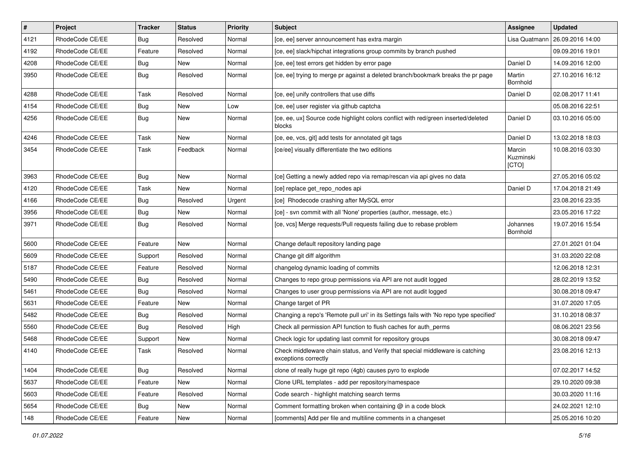| $\vert$ # | Project         | <b>Tracker</b> | <b>Status</b> | <b>Priority</b> | <b>Subject</b>                                                                                        | Assignee                     | <b>Updated</b>   |
|-----------|-----------------|----------------|---------------|-----------------|-------------------------------------------------------------------------------------------------------|------------------------------|------------------|
| 4121      | RhodeCode CE/EE | Bug            | Resolved      | Normal          | [ce, ee] server announcement has extra margin                                                         | Lisa Quatmann                | 26.09.2016 14:00 |
| 4192      | RhodeCode CE/EE | Feature        | Resolved      | Normal          | [ce, ee] slack/hipchat integrations group commits by branch pushed                                    |                              | 09.09.2016 19:01 |
| 4208      | RhodeCode CE/EE | Bug            | New           | Normal          | [ce, ee] test errors get hidden by error page                                                         | Daniel D                     | 14.09.2016 12:00 |
| 3950      | RhodeCode CE/EE | Bug            | Resolved      | Normal          | [ce, ee] trying to merge pr against a deleted branch/bookmark breaks the pr page                      | Martin<br>Bornhold           | 27.10.2016 16:12 |
| 4288      | RhodeCode CE/EE | Task           | Resolved      | Normal          | [ce, ee] unify controllers that use diffs                                                             | Daniel D                     | 02.08.2017 11:41 |
| 4154      | RhodeCode CE/EE | Bug            | New           | Low             | [ce, ee] user register via github captcha                                                             |                              | 05.08.2016 22:51 |
| 4256      | RhodeCode CE/EE | Bug            | <b>New</b>    | Normal          | [ce, ee, ux] Source code highlight colors conflict with red/green inserted/deleted<br>blocks          | Daniel D                     | 03.10.2016 05:00 |
| 4246      | RhodeCode CE/EE | Task           | New           | Normal          | [ce, ee, vcs, git] add tests for annotated git tags                                                   | Daniel D                     | 13.02.2018 18:03 |
| 3454      | RhodeCode CE/EE | Task           | Feedback      | Normal          | [ce/ee] visually differentiate the two editions                                                       | Marcin<br>Kuzminski<br>[CTO] | 10.08.2016 03:30 |
| 3963      | RhodeCode CE/EE | Bug            | New           | Normal          | [ce] Getting a newly added repo via remap/rescan via api gives no data                                |                              | 27.05.2016 05:02 |
| 4120      | RhodeCode CE/EE | Task           | New           | Normal          | [ce] replace get_repo_nodes api                                                                       | Daniel D                     | 17.04.2018 21:49 |
| 4166      | RhodeCode CE/EE | Bug            | Resolved      | Urgent          | [ce] Rhodecode crashing after MySQL error                                                             |                              | 23.08.2016 23:35 |
| 3956      | RhodeCode CE/EE | Bug            | New           | Normal          | [ce] - svn commit with all 'None' properties (author, message, etc.)                                  |                              | 23.05.2016 17:22 |
| 3971      | RhodeCode CE/EE | Bug            | Resolved      | Normal          | [ce, vcs] Merge requests/Pull requests failing due to rebase problem                                  | Johannes<br>Bornhold         | 19.07.2016 15:54 |
| 5600      | RhodeCode CE/EE | Feature        | New           | Normal          | Change default repository landing page                                                                |                              | 27.01.2021 01:04 |
| 5609      | RhodeCode CE/EE | Support        | Resolved      | Normal          | Change git diff algorithm                                                                             |                              | 31.03.2020 22:08 |
| 5187      | RhodeCode CE/EE | Feature        | Resolved      | Normal          | changelog dynamic loading of commits                                                                  |                              | 12.06.2018 12:31 |
| 5490      | RhodeCode CE/EE | <b>Bug</b>     | Resolved      | Normal          | Changes to repo group permissions via API are not audit logged                                        |                              | 28.02.2019 13:52 |
| 5461      | RhodeCode CE/EE | Bug            | Resolved      | Normal          | Changes to user group permissions via API are not audit logged                                        |                              | 30.08.2018 09:47 |
| 5631      | RhodeCode CE/EE | Feature        | New           | Normal          | Change target of PR                                                                                   |                              | 31.07.2020 17:05 |
| 5482      | RhodeCode CE/EE | Bug            | Resolved      | Normal          | Changing a repo's 'Remote pull uri' in its Settings fails with 'No repo type specified'               |                              | 31.10.2018 08:37 |
| 5560      | RhodeCode CE/EE | Bug            | Resolved      | High            | Check all permission API function to flush caches for auth perms                                      |                              | 08.06.2021 23:56 |
| 5468      | RhodeCode CE/EE | Support        | New           | Normal          | Check logic for updating last commit for repository groups                                            |                              | 30.08.2018 09:47 |
| 4140      | RhodeCode CE/EE | Task           | Resolved      | Normal          | Check middleware chain status, and Verify that special middleware is catching<br>exceptions correctly |                              | 23.08.2016 12:13 |
| 1404      | RhodeCode CE/EE | Bug            | Resolved      | Normal          | clone of really huge git repo (4gb) causes pyro to explode                                            |                              | 07.02.2017 14:52 |
| 5637      | RhodeCode CE/EE | Feature        | New           | Normal          | Clone URL templates - add per repository/namespace                                                    |                              | 29.10.2020 09:38 |
| 5603      | RhodeCode CE/EE | Feature        | Resolved      | Normal          | Code search - highlight matching search terms                                                         |                              | 30.03.2020 11:16 |
| 5654      | RhodeCode CE/EE | Bug            | New           | Normal          | Comment formatting broken when containing $@$ in a code block                                         |                              | 24.02.2021 12:10 |
| 148       | RhodeCode CE/EE | Feature        | New           | Normal          | [comments] Add per file and multiline comments in a changeset                                         |                              | 25.05.2016 10:20 |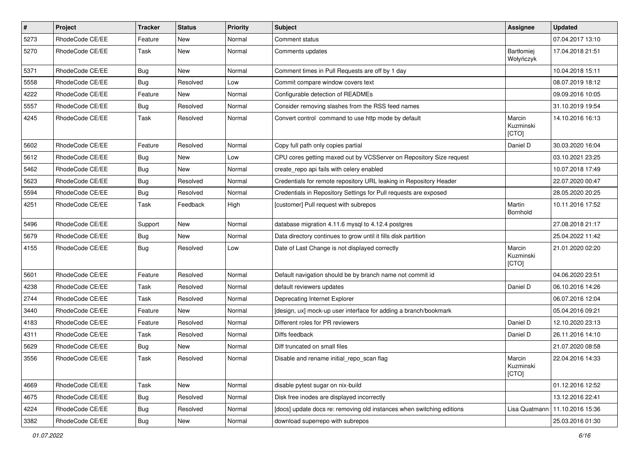| $\pmb{\#}$ | Project         | <b>Tracker</b> | <b>Status</b> | <b>Priority</b> | <b>Subject</b>                                                        | <b>Assignee</b>              | <b>Updated</b>   |
|------------|-----------------|----------------|---------------|-----------------|-----------------------------------------------------------------------|------------------------------|------------------|
| 5273       | RhodeCode CE/EE | Feature        | New           | Normal          | Comment status                                                        |                              | 07.04.2017 13:10 |
| 5270       | RhodeCode CE/EE | Task           | New           | Normal          | Comments updates                                                      | Bartłomiej<br>Wołyńczyk      | 17.04.2018 21:51 |
| 5371       | RhodeCode CE/EE | Bug            | New           | Normal          | Comment times in Pull Requests are off by 1 day                       |                              | 10.04.2018 15:11 |
| 5558       | RhodeCode CE/EE | Bug            | Resolved      | Low             | Commit compare window covers text                                     |                              | 08.07.2019 18:12 |
| 4222       | RhodeCode CE/EE | Feature        | New           | Normal          | Configurable detection of READMEs                                     |                              | 09.09.2016 10:05 |
| 5557       | RhodeCode CE/EE | Bug            | Resolved      | Normal          | Consider removing slashes from the RSS feed names                     |                              | 31.10.2019 19:54 |
| 4245       | RhodeCode CE/EE | Task           | Resolved      | Normal          | Convert control command to use http mode by default                   | Marcin<br>Kuzminski<br>[CTO] | 14.10.2016 16:13 |
| 5602       | RhodeCode CE/EE | Feature        | Resolved      | Normal          | Copy full path only copies partial                                    | Daniel D                     | 30.03.2020 16:04 |
| 5612       | RhodeCode CE/EE | Bug            | New           | Low             | CPU cores getting maxed out by VCSServer on Repository Size request   |                              | 03.10.2021 23:25 |
| 5462       | RhodeCode CE/EE | Bug            | New           | Normal          | create_repo api fails with celery enabled                             |                              | 10.07.2018 17:49 |
| 5623       | RhodeCode CE/EE | Bug            | Resolved      | Normal          | Credentials for remote repository URL leaking in Repository Header    |                              | 22.07.2020 00:47 |
| 5594       | RhodeCode CE/EE | Bug            | Resolved      | Normal          | Credentials in Repository Settings for Pull requests are exposed      |                              | 28.05.2020 20:25 |
| 4251       | RhodeCode CE/EE | Task           | Feedback      | High            | [customer] Pull request with subrepos                                 | Martin<br>Bornhold           | 10.11.2016 17:52 |
| 5496       | RhodeCode CE/EE | Support        | <b>New</b>    | Normal          | database migration 4.11.6 mysql to 4.12.4 postgres                    |                              | 27.08.2018 21:17 |
| 5679       | RhodeCode CE/EE | Bug            | New           | Normal          | Data directory continues to grow until it fills disk partition        |                              | 25.04.2022 11:42 |
| 4155       | RhodeCode CE/EE | Bug            | Resolved      | Low             | Date of Last Change is not displayed correctly                        | Marcin<br>Kuzminski<br>[CTO] | 21.01.2020 02:20 |
| 5601       | RhodeCode CE/EE | Feature        | Resolved      | Normal          | Default navigation should be by branch name not commit id             |                              | 04.06.2020 23:51 |
| 4238       | RhodeCode CE/EE | Task           | Resolved      | Normal          | default reviewers updates                                             | Daniel D                     | 06.10.2016 14:26 |
| 2744       | RhodeCode CE/EE | Task           | Resolved      | Normal          | Deprecating Internet Explorer                                         |                              | 06.07.2016 12:04 |
| 3440       | RhodeCode CE/EE | Feature        | New           | Normal          | [design, ux] mock-up user interface for adding a branch/bookmark      |                              | 05.04.2016 09:21 |
| 4183       | RhodeCode CE/EE | Feature        | Resolved      | Normal          | Different roles for PR reviewers                                      | Daniel D                     | 12.10.2020 23:13 |
| 4311       | RhodeCode CE/EE | Task           | Resolved      | Normal          | Diffs feedback                                                        | Daniel D                     | 26.11.2016 14:10 |
| 5629       | RhodeCode CE/EE | Bug            | New           | Normal          | Diff truncated on small files                                         |                              | 21.07.2020 08:58 |
| 3556       | RhodeCode CE/EE | Task           | Resolved      | Normal          | Disable and rename initial repo scan flag                             | Marcin<br>Kuzminski<br>[CTO] | 22.04.2016 14:33 |
| 4669       | RhodeCode CE/EE | Task           | New           | Normal          | disable pytest sugar on nix-build                                     |                              | 01.12.2016 12:52 |
| 4675       | RhodeCode CE/EE | Bug            | Resolved      | Normal          | Disk free inodes are displayed incorrectly                            |                              | 13.12.2016 22:41 |
| 4224       | RhodeCode CE/EE | <b>Bug</b>     | Resolved      | Normal          | [docs] update docs re: removing old instances when switching editions | Lisa Quatmann                | 11.10.2016 15:36 |
| 3382       | RhodeCode CE/EE | <b>Bug</b>     | New           | Normal          | download superrepo with subrepos                                      |                              | 25.03.2016 01:30 |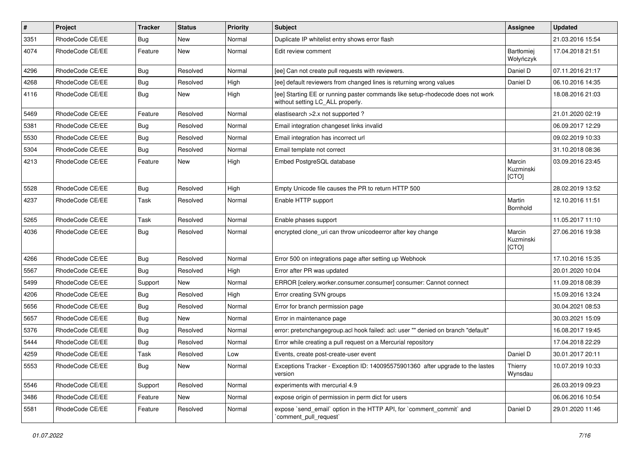| $\pmb{\#}$ | Project         | <b>Tracker</b> | <b>Status</b> | <b>Priority</b> | <b>Subject</b>                                                                                                     | Assignee                       | <b>Updated</b>   |
|------------|-----------------|----------------|---------------|-----------------|--------------------------------------------------------------------------------------------------------------------|--------------------------------|------------------|
| 3351       | RhodeCode CE/EE | Bug            | New           | Normal          | Duplicate IP whitelist entry shows error flash                                                                     |                                | 21.03.2016 15:54 |
| 4074       | RhodeCode CE/EE | Feature        | <b>New</b>    | Normal          | Edit review comment                                                                                                | <b>Bartłomiej</b><br>Wołyńczyk | 17.04.2018 21:51 |
| 4296       | RhodeCode CE/EE | Bug            | Resolved      | Normal          | [ee] Can not create pull requests with reviewers.                                                                  | Daniel D                       | 07.11.2016 21:17 |
| 4268       | RhodeCode CE/EE | Bug            | Resolved      | High            | [ee] default reviewers from changed lines is returning wrong values                                                | Daniel D                       | 06.10.2016 14:35 |
| 4116       | RhodeCode CE/EE | Bug            | New           | High            | [ee] Starting EE or running paster commands like setup-rhodecode does not work<br>without setting LC_ALL properly. |                                | 18.08.2016 21:03 |
| 5469       | RhodeCode CE/EE | Feature        | Resolved      | Normal          | elastisearch > 2.x not supported?                                                                                  |                                | 21.01.2020 02:19 |
| 5381       | RhodeCode CE/EE | Bug            | Resolved      | Normal          | Email integration changeset links invalid                                                                          |                                | 06.09.2017 12:29 |
| 5530       | RhodeCode CE/EE | Bug            | Resolved      | Normal          | Email integration has incorrect url                                                                                |                                | 09.02.2019 10:33 |
| 5304       | RhodeCode CE/EE | Bug            | Resolved      | Normal          | Email template not correct                                                                                         |                                | 31.10.2018 08:36 |
| 4213       | RhodeCode CE/EE | Feature        | New           | High            | Embed PostgreSQL database                                                                                          | Marcin<br>Kuzminski<br>[CTO]   | 03.09.2016 23:45 |
| 5528       | RhodeCode CE/EE | Bug            | Resolved      | High            | Empty Unicode file causes the PR to return HTTP 500                                                                |                                | 28.02.2019 13:52 |
| 4237       | RhodeCode CE/EE | Task           | Resolved      | Normal          | Enable HTTP support                                                                                                | Martin<br>Bornhold             | 12.10.2016 11:51 |
| 5265       | RhodeCode CE/EE | Task           | Resolved      | Normal          | Enable phases support                                                                                              |                                | 11.05.2017 11:10 |
| 4036       | RhodeCode CE/EE | <b>Bug</b>     | Resolved      | Normal          | encrypted clone uri can throw unicodeerror after key change                                                        | Marcin<br>Kuzminski<br>[CTO]   | 27.06.2016 19:38 |
| 4266       | RhodeCode CE/EE | Bug            | Resolved      | Normal          | Error 500 on integrations page after setting up Webhook                                                            |                                | 17.10.2016 15:35 |
| 5567       | RhodeCode CE/EE | Bug            | Resolved      | High            | Error after PR was updated                                                                                         |                                | 20.01.2020 10:04 |
| 5499       | RhodeCode CE/EE | Support        | <b>New</b>    | Normal          | ERROR [celery.worker.consumer.consumer] consumer: Cannot connect                                                   |                                | 11.09.2018 08:39 |
| 4206       | RhodeCode CE/EE | Bug            | Resolved      | High            | Error creating SVN groups                                                                                          |                                | 15.09.2016 13:24 |
| 5656       | RhodeCode CE/EE | Bug            | Resolved      | Normal          | Error for branch permission page                                                                                   |                                | 30.04.2021 08:53 |
| 5657       | RhodeCode CE/EE | Bug            | New           | Normal          | Error in maintenance page                                                                                          |                                | 30.03.2021 15:09 |
| 5376       | RhodeCode CE/EE | <b>Bug</b>     | Resolved      | Normal          | error: pretxnchangegroup.acl hook failed: acl: user "" denied on branch "default"                                  |                                | 16.08.2017 19:45 |
| 5444       | RhodeCode CE/EE | Bug            | Resolved      | Normal          | Error while creating a pull request on a Mercurial repository                                                      |                                | 17.04.2018 22:29 |
| 4259       | RhodeCode CE/EE | Task           | Resolved      | Low             | Events, create post-create-user event                                                                              | Daniel D                       | 30.01.2017 20:11 |
| 5553       | RhodeCode CE/EE | <b>Bug</b>     | New           | Normal          | Exceptions Tracker - Exception ID: 140095575901360 after upgrade to the lastes<br>version                          | Thierry<br>Wynsdau             | 10.07.2019 10:33 |
| 5546       | RhodeCode CE/EE | Support        | Resolved      | Normal          | experiments with mercurial 4.9                                                                                     |                                | 26.03.2019 09:23 |
| 3486       | RhodeCode CE/EE | Feature        | <b>New</b>    | Normal          | expose origin of permission in perm dict for users                                                                 |                                | 06.06.2016 10:54 |
| 5581       | RhodeCode CE/EE | Feature        | Resolved      | Normal          | expose `send_email` option in the HTTP API, for `comment_commit` and<br>`comment_pull_request`                     | Daniel D                       | 29.01.2020 11:46 |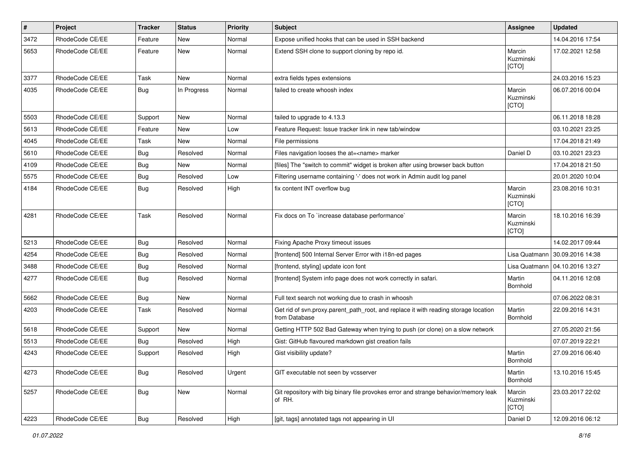| #    | Project         | <b>Tracker</b> | <b>Status</b> | <b>Priority</b> | <b>Subject</b>                                                                                       | <b>Assignee</b>              | <b>Updated</b>                   |
|------|-----------------|----------------|---------------|-----------------|------------------------------------------------------------------------------------------------------|------------------------------|----------------------------------|
| 3472 | RhodeCode CE/EE | Feature        | <b>New</b>    | Normal          | Expose unified hooks that can be used in SSH backend                                                 |                              | 14.04.2016 17:54                 |
| 5653 | RhodeCode CE/EE | Feature        | <b>New</b>    | Normal          | Extend SSH clone to support cloning by repo id.                                                      | Marcin<br>Kuzminski<br>[CTO] | 17.02.2021 12:58                 |
| 3377 | RhodeCode CE/EE | Task           | <b>New</b>    | Normal          | extra fields types extensions                                                                        |                              | 24.03.2016 15:23                 |
| 4035 | RhodeCode CE/EE | Bug            | In Progress   | Normal          | failed to create whoosh index                                                                        | Marcin<br>Kuzminski<br>[CTO] | 06.07.2016 00:04                 |
| 5503 | RhodeCode CE/EE | Support        | New           | Normal          | failed to upgrade to 4.13.3                                                                          |                              | 06.11.2018 18:28                 |
| 5613 | RhodeCode CE/EE | Feature        | <b>New</b>    | Low             | Feature Request: Issue tracker link in new tab/window                                                |                              | 03.10.2021 23:25                 |
| 4045 | RhodeCode CE/EE | Task           | New           | Normal          | File permissions                                                                                     |                              | 17.04.2018 21:49                 |
| 5610 | RhodeCode CE/EE | Bug            | Resolved      | Normal          | Files navigation looses the at= <name> marker</name>                                                 | Daniel D                     | 03.10.2021 23:23                 |
| 4109 | RhodeCode CE/EE | Bug            | <b>New</b>    | Normal          | [files] The "switch to commit" widget is broken after using browser back button                      |                              | 17.04.2018 21:50                 |
| 5575 | RhodeCode CE/EE | Bug            | Resolved      | Low             | Filtering username containing '-' does not work in Admin audit log panel                             |                              | 20.01.2020 10:04                 |
| 4184 | RhodeCode CE/EE | Bug            | Resolved      | High            | fix content INT overflow bug                                                                         | Marcin<br>Kuzminski<br>[CTO] | 23.08.2016 10:31                 |
| 4281 | RhodeCode CE/EE | Task           | Resolved      | Normal          | Fix docs on To `increase database performance`                                                       | Marcin<br>Kuzminski<br>[CTO] | 18.10.2016 16:39                 |
| 5213 | RhodeCode CE/EE | Bug            | Resolved      | Normal          | Fixing Apache Proxy timeout issues                                                                   |                              | 14.02.2017 09:44                 |
| 4254 | RhodeCode CE/EE | Bug            | Resolved      | Normal          | [frontend] 500 Internal Server Error with i18n-ed pages                                              | Lisa Quatmann                | 30.09.2016 14:38                 |
| 3488 | RhodeCode CE/EE | Bug            | Resolved      | Normal          | [frontend, styling] update icon font                                                                 |                              | Lisa Quatmann   04.10.2016 13:27 |
| 4277 | RhodeCode CE/EE | Bug            | Resolved      | Normal          | [frontend] System info page does not work correctly in safari.                                       | Martin<br>Bornhold           | 04.11.2016 12:08                 |
| 5662 | RhodeCode CE/EE | Bug            | <b>New</b>    | Normal          | Full text search not working due to crash in whoosh                                                  |                              | 07.06.2022 08:31                 |
| 4203 | RhodeCode CE/EE | Task           | Resolved      | Normal          | Get rid of svn.proxy.parent_path_root, and replace it with reading storage location<br>from Database | Martin<br>Bornhold           | 22.09.2016 14:31                 |
| 5618 | RhodeCode CE/EE | Support        | <b>New</b>    | Normal          | Getting HTTP 502 Bad Gateway when trying to push (or clone) on a slow network                        |                              | 27.05.2020 21:56                 |
| 5513 | RhodeCode CE/EE | Bug            | Resolved      | High            | Gist: GitHub flavoured markdown gist creation fails                                                  |                              | 07.07.2019 22:21                 |
| 4243 | RhodeCode CE/EE | Support        | Resolved      | High            | Gist visibility update?                                                                              | Martin<br>Bornhold           | 27.09.2016 06:40                 |
| 4273 | RhodeCode CE/EE | Bug            | Resolved      | Urgent          | GIT executable not seen by vcsserver                                                                 | Martin<br>Bornhold           | 13.10.2016 15:45                 |
| 5257 | RhodeCode CE/EE | <b>Bug</b>     | New           | Normal          | Git repository with big binary file provokes error and strange behavior/memory leak<br>of RH.        | Marcin<br>Kuzminski<br>[CTO] | 23.03.2017 22:02                 |
| 4223 | RhodeCode CE/EE | <b>Bug</b>     | Resolved      | High            | [git, tags] annotated tags not appearing in UI                                                       | Daniel D                     | 12.09.2016 06:12                 |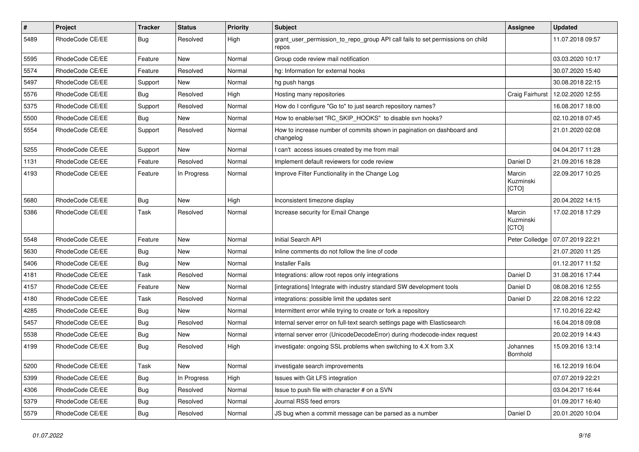| $\pmb{\#}$ | <b>Project</b>  | <b>Tracker</b> | <b>Status</b> | <b>Priority</b> | <b>Subject</b>                                                                          | Assignee                     | <b>Updated</b>   |
|------------|-----------------|----------------|---------------|-----------------|-----------------------------------------------------------------------------------------|------------------------------|------------------|
| 5489       | RhodeCode CE/EE | Bug            | Resolved      | High            | grant_user_permission_to_repo_group API call fails to set permissions on child<br>repos |                              | 11.07.2018 09:57 |
| 5595       | RhodeCode CE/EE | Feature        | <b>New</b>    | Normal          | Group code review mail notification                                                     |                              | 03.03.2020 10:17 |
| 5574       | RhodeCode CE/EE | Feature        | Resolved      | Normal          | hg: Information for external hooks                                                      |                              | 30.07.2020 15:40 |
| 5497       | RhodeCode CE/EE | Support        | <b>New</b>    | Normal          | hg push hangs                                                                           |                              | 30.08.2018 22:15 |
| 5576       | RhodeCode CE/EE | Bug            | Resolved      | High            | Hosting many repositories                                                               | <b>Craig Fairhurst</b>       | 12.02.2020 12:55 |
| 5375       | RhodeCode CE/EE | Support        | Resolved      | Normal          | How do I configure "Go to" to just search repository names?                             |                              | 16.08.2017 18:00 |
| 5500       | RhodeCode CE/EE | Bug            | New           | Normal          | How to enable/set "RC_SKIP_HOOKS" to disable svn hooks?                                 |                              | 02.10.2018 07:45 |
| 5554       | RhodeCode CE/EE | Support        | Resolved      | Normal          | How to increase number of commits shown in pagination on dashboard and<br>changelog     |                              | 21.01.2020 02:08 |
| 5255       | RhodeCode CE/EE | Support        | New           | Normal          | I can't access issues created by me from mail                                           |                              | 04.04.2017 11:28 |
| 1131       | RhodeCode CE/EE | Feature        | Resolved      | Normal          | Implement default reviewers for code review                                             | Daniel D                     | 21.09.2016 18:28 |
| 4193       | RhodeCode CE/EE | Feature        | In Progress   | Normal          | Improve Filter Functionality in the Change Log                                          | Marcin<br>Kuzminski<br>[CTO] | 22.09.2017 10:25 |
| 5680       | RhodeCode CE/EE | Bug            | New           | High            | Inconsistent timezone display                                                           |                              | 20.04.2022 14:15 |
| 5386       | RhodeCode CE/EE | Task           | Resolved      | Normal          | Increase security for Email Change                                                      | Marcin<br>Kuzminski<br>[CTO] | 17.02.2018 17:29 |
| 5548       | RhodeCode CE/EE | Feature        | New           | Normal          | Initial Search API                                                                      | Peter Colledge               | 07.07.2019 22:21 |
| 5630       | RhodeCode CE/EE | Bug            | <b>New</b>    | Normal          | Inline comments do not follow the line of code                                          |                              | 21.07.2020 11:25 |
| 5406       | RhodeCode CE/EE | Bug            | <b>New</b>    | Normal          | <b>Installer Fails</b>                                                                  |                              | 01.12.2017 11:52 |
| 4181       | RhodeCode CE/EE | Task           | Resolved      | Normal          | Integrations: allow root repos only integrations                                        | Daniel D                     | 31.08.2016 17:44 |
| 4157       | RhodeCode CE/EE | Feature        | New           | Normal          | [integrations] Integrate with industry standard SW development tools                    | Daniel D                     | 08.08.2016 12:55 |
| 4180       | RhodeCode CE/EE | Task           | Resolved      | Normal          | integrations: possible limit the updates sent                                           | Daniel D                     | 22.08.2016 12:22 |
| 4285       | RhodeCode CE/EE | Bug            | <b>New</b>    | Normal          | Intermittent error while trying to create or fork a repository                          |                              | 17.10.2016 22:42 |
| 5457       | RhodeCode CE/EE | Bug            | Resolved      | Normal          | Internal server error on full-text search settings page with Elasticsearch              |                              | 16.04.2018 09:08 |
| 5538       | RhodeCode CE/EE | Bug            | New           | Normal          | internal server error (UnicodeDecodeError) during rhodecode-index request               |                              | 20.02.2019 14:43 |
| 4199       | RhodeCode CE/EE | Bug            | Resolved      | High            | investigate: ongoing SSL problems when switching to 4.X from 3.X                        | Johannes<br>Bornhold         | 15.09.2016 13:14 |
| 5200       | RhodeCode CE/EE | Task           | New           | Normal          | investigate search improvements                                                         |                              | 16.12.2019 16:04 |
| 5399       | RhodeCode CE/EE | <b>Bug</b>     | In Progress   | High            | Issues with Git LFS integration                                                         |                              | 07.07.2019 22:21 |
| 4306       | RhodeCode CE/EE | Bug            | Resolved      | Normal          | Issue to push file with character # on a SVN                                            |                              | 03.04.2017 16:44 |
| 5379       | RhodeCode CE/EE | Bug            | Resolved      | Normal          | Journal RSS feed errors                                                                 |                              | 01.09.2017 16:40 |
| 5579       | RhodeCode CE/EE | Bug            | Resolved      | Normal          | JS bug when a commit message can be parsed as a number                                  | Daniel D                     | 20.01.2020 10:04 |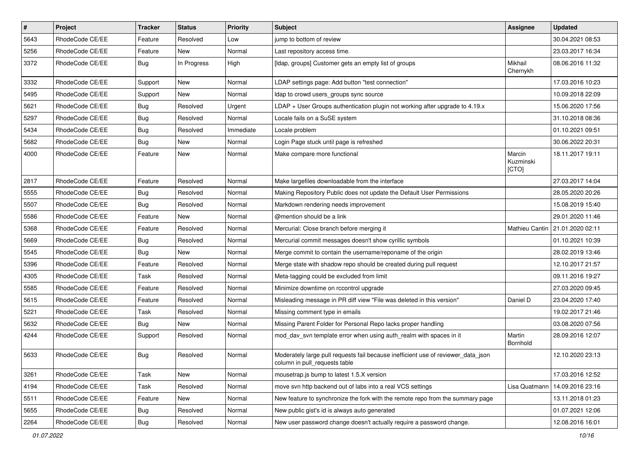| $\vert$ # | Project         | <b>Tracker</b> | <b>Status</b> | <b>Priority</b> | <b>Subject</b>                                                                                                     | <b>Assignee</b>              | <b>Updated</b>                    |
|-----------|-----------------|----------------|---------------|-----------------|--------------------------------------------------------------------------------------------------------------------|------------------------------|-----------------------------------|
| 5643      | RhodeCode CE/EE | Feature        | Resolved      | Low             | jump to bottom of review                                                                                           |                              | 30.04.2021 08:53                  |
| 5256      | RhodeCode CE/EE | Feature        | New           | Normal          | Last repository access time.                                                                                       |                              | 23.03.2017 16:34                  |
| 3372      | RhodeCode CE/EE | Bug            | In Progress   | High            | [Idap, groups] Customer gets an empty list of groups                                                               | Mikhail<br>Chernykh          | 08.06.2016 11:32                  |
| 3332      | RhodeCode CE/EE | Support        | New           | Normal          | LDAP settings page: Add button "test connection"                                                                   |                              | 17.03.2016 10:23                  |
| 5495      | RhodeCode CE/EE | Support        | New           | Normal          | Idap to crowd users_groups sync source                                                                             |                              | 10.09.2018 22:09                  |
| 5621      | RhodeCode CE/EE | <b>Bug</b>     | Resolved      | Urgent          | LDAP + User Groups authentication plugin not working after upgrade to 4.19.x                                       |                              | 15.06.2020 17:56                  |
| 5297      | RhodeCode CE/EE | <b>Bug</b>     | Resolved      | Normal          | Locale fails on a SuSE system                                                                                      |                              | 31.10.2018 08:36                  |
| 5434      | RhodeCode CE/EE | <b>Bug</b>     | Resolved      | Immediate       | Locale problem                                                                                                     |                              | 01.10.2021 09:51                  |
| 5682      | RhodeCode CE/EE | <b>Bug</b>     | <b>New</b>    | Normal          | Login Page stuck until page is refreshed                                                                           |                              | 30.06.2022 20:31                  |
| 4000      | RhodeCode CE/EE | Feature        | New           | Normal          | Make compare more functional                                                                                       | Marcin<br>Kuzminski<br>[CTO] | 18.11.2017 19:11                  |
| 2817      | RhodeCode CE/EE | Feature        | Resolved      | Normal          | Make largefiles downloadable from the interface                                                                    |                              | 27.03.2017 14:04                  |
| 5555      | RhodeCode CE/EE | <b>Bug</b>     | Resolved      | Normal          | Making Repository Public does not update the Default User Permissions                                              |                              | 28.05.2020 20:26                  |
| 5507      | RhodeCode CE/EE | <b>Bug</b>     | Resolved      | Normal          | Markdown rendering needs improvement                                                                               |                              | 15.08.2019 15:40                  |
| 5586      | RhodeCode CE/EE | Feature        | New           | Normal          | @mention should be a link                                                                                          |                              | 29.01.2020 11:46                  |
| 5368      | RhodeCode CE/EE | Feature        | Resolved      | Normal          | Mercurial: Close branch before merging it                                                                          |                              | Mathieu Cantin   21.01.2020 02:11 |
| 5669      | RhodeCode CE/EE | <b>Bug</b>     | Resolved      | Normal          | Mercurial commit messages doesn't show cyrillic symbols                                                            |                              | 01.10.2021 10:39                  |
| 5545      | RhodeCode CE/EE | <b>Bug</b>     | New           | Normal          | Merge commit to contain the username/reponame of the origin                                                        |                              | 28.02.2019 13:46                  |
| 5396      | RhodeCode CE/EE | Feature        | Resolved      | Normal          | Merge state with shadow repo should be created during pull request                                                 |                              | 12.10.2017 21:57                  |
| 4305      | RhodeCode CE/EE | Task           | Resolved      | Normal          | Meta-tagging could be excluded from limit                                                                          |                              | 09.11.2016 19:27                  |
| 5585      | RhodeCode CE/EE | Feature        | Resolved      | Normal          | Minimize downtime on rccontrol upgrade                                                                             |                              | 27.03.2020 09:45                  |
| 5615      | RhodeCode CE/EE | Feature        | Resolved      | Normal          | Misleading message in PR diff view "File was deleted in this version"                                              | Daniel D                     | 23.04.2020 17:40                  |
| 5221      | RhodeCode CE/EE | Task           | Resolved      | Normal          | Missing comment type in emails                                                                                     |                              | 19.02.2017 21:46                  |
| 5632      | RhodeCode CE/EE | <b>Bug</b>     | New           | Normal          | Missing Parent Folder for Personal Repo lacks proper handling                                                      |                              | 03.08.2020 07:56                  |
| 4244      | RhodeCode CE/EE | Support        | Resolved      | Normal          | mod dav svn template error when using auth realm with spaces in it                                                 | Martin<br>Bornhold           | 28.09.2016 12:07                  |
| 5633      | RhodeCode CE/EE | <b>Bug</b>     | Resolved      | Normal          | Moderately large pull requests fail because inefficient use of reviewer_data_json<br>column in pull_requests table |                              | 12.10.2020 23:13                  |
| 3261      | RhodeCode CE/EE | Task           | New           | Normal          | mousetrap.js bump to latest 1.5.X version                                                                          |                              | 17.03.2016 12:52                  |
| 4194      | RhodeCode CE/EE | Task           | Resolved      | Normal          | move svn http backend out of labs into a real VCS settings                                                         | Lisa Quatmann                | 14.09.2016 23:16                  |
| 5511      | RhodeCode CE/EE | Feature        | New           | Normal          | New feature to synchronize the fork with the remote repo from the summary page                                     |                              | 13.11.2018 01:23                  |
| 5655      | RhodeCode CE/EE | <b>Bug</b>     | Resolved      | Normal          | New public gist's id is always auto generated                                                                      |                              | 01.07.2021 12:06                  |
| 2264      | RhodeCode CE/EE | Bug            | Resolved      | Normal          | New user password change doesn't actually require a password change.                                               |                              | 12.08.2016 16:01                  |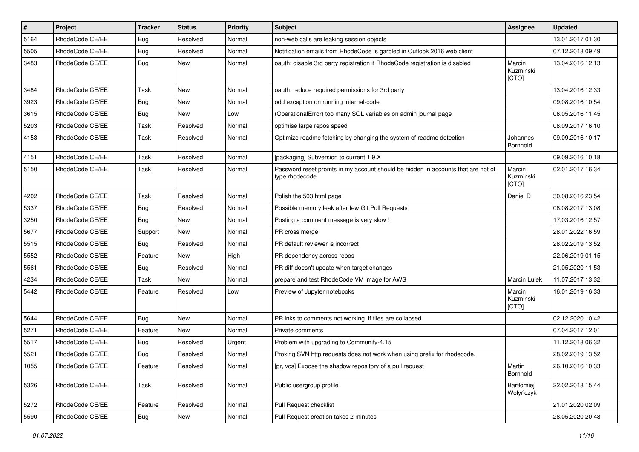| $\vert$ # | Project         | <b>Tracker</b> | <b>Status</b> | <b>Priority</b> | <b>Subject</b>                                                                                     | <b>Assignee</b>              | <b>Updated</b>   |
|-----------|-----------------|----------------|---------------|-----------------|----------------------------------------------------------------------------------------------------|------------------------------|------------------|
| 5164      | RhodeCode CE/EE | Bug            | Resolved      | Normal          | non-web calls are leaking session objects                                                          |                              | 13.01.2017 01:30 |
| 5505      | RhodeCode CE/EE | Bug            | Resolved      | Normal          | Notification emails from RhodeCode is garbled in Outlook 2016 web client                           |                              | 07.12.2018 09:49 |
| 3483      | RhodeCode CE/EE | Bug            | <b>New</b>    | Normal          | oauth: disable 3rd party registration if RhodeCode registration is disabled                        | Marcin<br>Kuzminski<br>[CTO] | 13.04.2016 12:13 |
| 3484      | RhodeCode CE/EE | Task           | <b>New</b>    | Normal          | oauth: reduce required permissions for 3rd party                                                   |                              | 13.04.2016 12:33 |
| 3923      | RhodeCode CE/EE | Bug            | New           | Normal          | odd exception on running internal-code                                                             |                              | 09.08.2016 10:54 |
| 3615      | RhodeCode CE/EE | Bug            | <b>New</b>    | Low             | (OperationalError) too many SQL variables on admin journal page                                    |                              | 06.05.2016 11:45 |
| 5203      | RhodeCode CE/EE | Task           | Resolved      | Normal          | optimise large repos speed                                                                         |                              | 08.09.2017 16:10 |
| 4153      | RhodeCode CE/EE | Task           | Resolved      | Normal          | Optimize readme fetching by changing the system of readme detection                                | Johannes<br>Bornhold         | 09.09.2016 10:17 |
| 4151      | RhodeCode CE/EE | Task           | Resolved      | Normal          | [packaging] Subversion to current 1.9.X                                                            |                              | 09.09.2016 10:18 |
| 5150      | RhodeCode CE/EE | Task           | Resolved      | Normal          | Password reset promts in my account should be hidden in accounts that are not of<br>type rhodecode | Marcin<br>Kuzminski<br>[CTO] | 02.01.2017 16:34 |
| 4202      | RhodeCode CE/EE | Task           | Resolved      | Normal          | Polish the 503.html page                                                                           | Daniel D                     | 30.08.2016 23:54 |
| 5337      | RhodeCode CE/EE | Bug            | Resolved      | Normal          | Possible memory leak after few Git Pull Requests                                                   |                              | 08.08.2017 13:08 |
| 3250      | RhodeCode CE/EE | Bug            | <b>New</b>    | Normal          | Posting a comment message is very slow !                                                           |                              | 17.03.2016 12:57 |
| 5677      | RhodeCode CE/EE | Support        | <b>New</b>    | Normal          | PR cross merge                                                                                     |                              | 28.01.2022 16:59 |
| 5515      | RhodeCode CE/EE | Bug            | Resolved      | Normal          | PR default reviewer is incorrect                                                                   |                              | 28.02.2019 13:52 |
| 5552      | RhodeCode CE/EE | Feature        | <b>New</b>    | High            | PR dependency across repos                                                                         |                              | 22.06.2019 01:15 |
| 5561      | RhodeCode CE/EE | <b>Bug</b>     | Resolved      | Normal          | PR diff doesn't update when target changes                                                         |                              | 21.05.2020 11:53 |
| 4234      | RhodeCode CE/EE | Task           | <b>New</b>    | Normal          | prepare and test RhodeCode VM image for AWS                                                        | Marcin Lulek                 | 11.07.2017 13:32 |
| 5442      | RhodeCode CE/EE | Feature        | Resolved      | Low             | Preview of Jupyter notebooks                                                                       | Marcin<br>Kuzminski<br>[CTO] | 16.01.2019 16:33 |
| 5644      | RhodeCode CE/EE | Bug            | <b>New</b>    | Normal          | PR inks to comments not working if files are collapsed                                             |                              | 02.12.2020 10:42 |
| 5271      | RhodeCode CE/EE | Feature        | <b>New</b>    | Normal          | Private comments                                                                                   |                              | 07.04.2017 12:01 |
| 5517      | RhodeCode CE/EE | Bug            | Resolved      | Urgent          | Problem with upgrading to Community-4.15                                                           |                              | 11.12.2018 06:32 |
| 5521      | RhodeCode CE/EE | Bug            | Resolved      | Normal          | Proxing SVN http requests does not work when using prefix for rhodecode.                           |                              | 28.02.2019 13:52 |
| 1055      | RhodeCode CE/EE | Feature        | Resolved      | Normal          | [pr, vcs] Expose the shadow repository of a pull request                                           | Martin<br>Bornhold           | 26.10.2016 10:33 |
| 5326      | RhodeCode CE/EE | Task           | Resolved      | Normal          | Public usergroup profile                                                                           | Bartłomiej<br>Wołyńczyk      | 22.02.2018 15:44 |
| 5272      | RhodeCode CE/EE | Feature        | Resolved      | Normal          | Pull Request checklist                                                                             |                              | 21.01.2020 02:09 |
| 5590      | RhodeCode CE/EE | <b>Bug</b>     | New           | Normal          | Pull Request creation takes 2 minutes                                                              |                              | 28.05.2020 20:48 |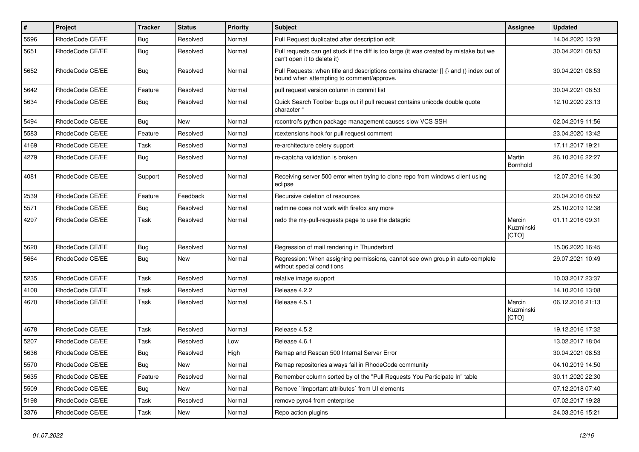| $\pmb{\#}$ | Project         | <b>Tracker</b> | <b>Status</b> | <b>Priority</b> | <b>Subject</b>                                                                                                                       | Assignee                     | <b>Updated</b>   |
|------------|-----------------|----------------|---------------|-----------------|--------------------------------------------------------------------------------------------------------------------------------------|------------------------------|------------------|
| 5596       | RhodeCode CE/EE | Bug            | Resolved      | Normal          | Pull Request duplicated after description edit                                                                                       |                              | 14.04.2020 13:28 |
| 5651       | RhodeCode CE/EE | Bug            | Resolved      | Normal          | Pull requests can get stuck if the diff is too large (it was created by mistake but we<br>can't open it to delete it)                |                              | 30.04.2021 08:53 |
| 5652       | RhodeCode CE/EE | Bug            | Resolved      | Normal          | Pull Requests: when title and descriptions contains character [] {} and () index out of<br>bound when attempting to comment/approve. |                              | 30.04.2021 08:53 |
| 5642       | RhodeCode CE/EE | Feature        | Resolved      | Normal          | pull request version column in commit list                                                                                           |                              | 30.04.2021 08:53 |
| 5634       | RhodeCode CE/EE | Bug            | Resolved      | Normal          | Quick Search Toolbar bugs out if pull request contains unicode double quote<br>character "                                           |                              | 12.10.2020 23:13 |
| 5494       | RhodeCode CE/EE | Bug            | New           | Normal          | rccontrol's python package management causes slow VCS SSH                                                                            |                              | 02.04.2019 11:56 |
| 5583       | RhodeCode CE/EE | Feature        | Resolved      | Normal          | rcextensions hook for pull request comment                                                                                           |                              | 23.04.2020 13:42 |
| 4169       | RhodeCode CE/EE | Task           | Resolved      | Normal          | re-architecture celery support                                                                                                       |                              | 17.11.2017 19:21 |
| 4279       | RhodeCode CE/EE | Bug            | Resolved      | Normal          | re-captcha validation is broken                                                                                                      | Martin<br>Bornhold           | 26.10.2016 22:27 |
| 4081       | RhodeCode CE/EE | Support        | Resolved      | Normal          | Receiving server 500 error when trying to clone repo from windows client using<br>eclipse                                            |                              | 12.07.2016 14:30 |
| 2539       | RhodeCode CE/EE | Feature        | Feedback      | Normal          | Recursive deletion of resources                                                                                                      |                              | 20.04.2016 08:52 |
| 5571       | RhodeCode CE/EE | Bug            | Resolved      | Normal          | redmine does not work with firefox any more                                                                                          |                              | 25.10.2019 12:38 |
| 4297       | RhodeCode CE/EE | Task           | Resolved      | Normal          | redo the my-pull-requests page to use the datagrid                                                                                   | Marcin<br>Kuzminski<br>[CTO] | 01.11.2016 09:31 |
| 5620       | RhodeCode CE/EE | <b>Bug</b>     | Resolved      | Normal          | Regression of mail rendering in Thunderbird                                                                                          |                              | 15.06.2020 16:45 |
| 5664       | RhodeCode CE/EE | Bug            | <b>New</b>    | Normal          | Regression: When assigning permissions, cannot see own group in auto-complete<br>without special conditions                          |                              | 29.07.2021 10:49 |
| 5235       | RhodeCode CE/EE | Task           | Resolved      | Normal          | relative image support                                                                                                               |                              | 10.03.2017 23:37 |
| 4108       | RhodeCode CE/EE | Task           | Resolved      | Normal          | Release 4.2.2                                                                                                                        |                              | 14.10.2016 13:08 |
| 4670       | RhodeCode CE/EE | Task           | Resolved      | Normal          | Release 4.5.1                                                                                                                        | Marcin<br>Kuzminski<br>[CTO] | 06.12.2016 21:13 |
| 4678       | RhodeCode CE/EE | Task           | Resolved      | Normal          | Release 4.5.2                                                                                                                        |                              | 19.12.2016 17:32 |
| 5207       | RhodeCode CE/EE | Task           | Resolved      | Low             | Release 4.6.1                                                                                                                        |                              | 13.02.2017 18:04 |
| 5636       | RhodeCode CE/EE | Bug            | Resolved      | High            | Remap and Rescan 500 Internal Server Error                                                                                           |                              | 30.04.2021 08:53 |
| 5570       | RhodeCode CE/EE | Bug            | <b>New</b>    | Normal          | Remap repositories always fail in RhodeCode community                                                                                |                              | 04.10.2019 14:50 |
| 5635       | RhodeCode CE/EE | Feature        | Resolved      | Normal          | Remember column sorted by of the "Pull Requests You Participate In" table                                                            |                              | 30.11.2020 22:30 |
| 5509       | RhodeCode CE/EE | Bug            | <b>New</b>    | Normal          | Remove `!important attributes` from UI elements                                                                                      |                              | 07.12.2018 07:40 |
| 5198       | RhodeCode CE/EE | Task           | Resolved      | Normal          | remove pyro4 from enterprise                                                                                                         |                              | 07.02.2017 19:28 |
| 3376       | RhodeCode CE/EE | Task           | <b>New</b>    | Normal          | Repo action plugins                                                                                                                  |                              | 24.03.2016 15:21 |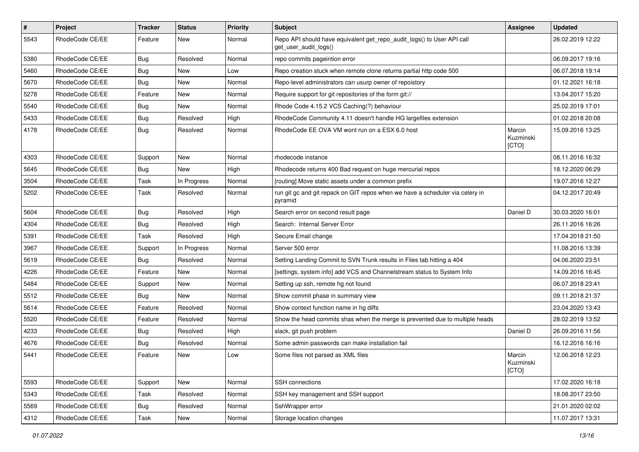| $\pmb{\#}$ | Project         | <b>Tracker</b> | <b>Status</b> | <b>Priority</b> | Subject                                                                                         | <b>Assignee</b>              | <b>Updated</b>   |
|------------|-----------------|----------------|---------------|-----------------|-------------------------------------------------------------------------------------------------|------------------------------|------------------|
| 5543       | RhodeCode CE/EE | Feature        | New           | Normal          | Repo API should have equivalent get_repo_audit_logs() to User API call<br>get_user_audit_logs() |                              | 26.02.2019 12:22 |
| 5380       | RhodeCode CE/EE | Bug            | Resolved      | Normal          | repo commits pageintion error                                                                   |                              | 06.09.2017 19:16 |
| 5460       | RhodeCode CE/EE | <b>Bug</b>     | New           | Low             | Repo creation stuck when remote clone returns partial http code 500                             |                              | 06.07.2018 19:14 |
| 5670       | RhodeCode CE/EE | Bug            | <b>New</b>    | Normal          | Repo-level administrators can usurp owner of repoistory                                         |                              | 01.12.2021 16:18 |
| 5278       | RhodeCode CE/EE | Feature        | New           | Normal          | Require support for git repositories of the form git://                                         |                              | 13.04.2017 15:20 |
| 5540       | RhodeCode CE/EE | Bug            | New           | Normal          | Rhode Code 4.15.2 VCS Caching(?) behaviour                                                      |                              | 25.02.2019 17:01 |
| 5433       | RhodeCode CE/EE | Bug            | Resolved      | High            | RhodeCode Community 4.11 doesn't handle HG largefiles extension                                 |                              | 01.02.2018 20:08 |
| 4178       | RhodeCode CE/EE | Bug            | Resolved      | Normal          | RhodeCode EE OVA VM wont run on a ESX 6.0 host                                                  | Marcin<br>Kuzminski<br>[CTO] | 15.09.2016 13:25 |
| 4303       | RhodeCode CE/EE | Support        | New           | Normal          | rhodecode instance                                                                              |                              | 08.11.2016 16:32 |
| 5645       | RhodeCode CE/EE | <b>Bug</b>     | <b>New</b>    | High            | Rhodecode returns 400 Bad request on huge mercurial repos                                       |                              | 18.12.2020 06:29 |
| 3504       | RhodeCode CE/EE | Task           | In Progress   | Normal          | [routing] Move static assets under a common prefix                                              |                              | 19.07.2016 12:27 |
| 5202       | RhodeCode CE/EE | Task           | Resolved      | Normal          | run git gc and git repack on GIT repos when we have a scheduler via celery in<br>pyramid        |                              | 04.12.2017 20:49 |
| 5604       | RhodeCode CE/EE | Bug            | Resolved      | High            | Search error on second result page                                                              | Daniel D                     | 30.03.2020 16:01 |
| 4304       | RhodeCode CE/EE | Bug            | Resolved      | High            | Search: Internal Server Error                                                                   |                              | 26.11.2016 16:26 |
| 5391       | RhodeCode CE/EE | Task           | Resolved      | High            | Secure Email change                                                                             |                              | 17.04.2018 21:50 |
| 3967       | RhodeCode CE/EE | Support        | In Progress   | Normal          | Server 500 error                                                                                |                              | 11.08.2016 13:39 |
| 5619       | RhodeCode CE/EE | Bug            | Resolved      | Normal          | Setting Landing Commit to SVN Trunk results in Files tab hitting a 404                          |                              | 04.06.2020 23:51 |
| 4226       | RhodeCode CE/EE | Feature        | <b>New</b>    | Normal          | [settings, system info] add VCS and Channelstream status to System Info                         |                              | 14.09.2016 16:45 |
| 5484       | RhodeCode CE/EE | Support        | New           | Normal          | Setting up ssh, remote hg not found                                                             |                              | 06.07.2018 23:41 |
| 5512       | RhodeCode CE/EE | <b>Bug</b>     | <b>New</b>    | Normal          | Show commit phase in summary view                                                               |                              | 09.11.2018 21:37 |
| 5614       | RhodeCode CE/EE | Feature        | Resolved      | Normal          | Show context function name in hg diffs                                                          |                              | 23.04.2020 13:43 |
| 5520       | RhodeCode CE/EE | Feature        | Resolved      | Normal          | Show the head commits shas when the merge is prevented due to multiple heads                    |                              | 28.02.2019 13:52 |
| 4233       | RhodeCode CE/EE | Bug            | Resolved      | High            | slack, git push problem                                                                         | Daniel D                     | 26.09.2016 11:56 |
| 4676       | RhodeCode CE/EE | Bug            | Resolved      | Normal          | Some admin passwords can make installation fail                                                 |                              | 16.12.2016 16:16 |
| 5441       | RhodeCode CE/EE | Feature        | New           | Low             | Some files not parsed as XML files                                                              | Marcin<br>Kuzminski<br>[CTO] | 12.06.2018 12:23 |
| 5593       | RhodeCode CE/EE | Support        | New           | Normal          | SSH connections                                                                                 |                              | 17.02.2020 16:18 |
| 5343       | RhodeCode CE/EE | Task           | Resolved      | Normal          | SSH key management and SSH support                                                              |                              | 18.08.2017 23:50 |
| 5569       | RhodeCode CE/EE | Bug            | Resolved      | Normal          | SshWrapper error                                                                                |                              | 21.01.2020 02:02 |
| 4312       | RhodeCode CE/EE | Task           | New           | Normal          | Storage location changes                                                                        |                              | 11.07.2017 13:31 |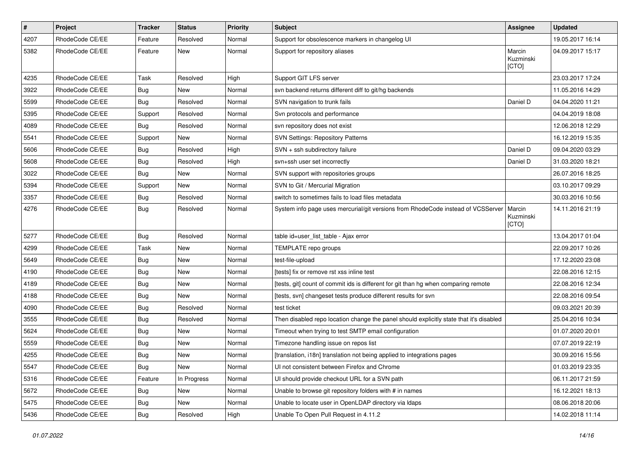| $\pmb{\#}$ | Project         | <b>Tracker</b> | <b>Status</b> | <b>Priority</b> | <b>Subject</b>                                                                          | Assignee                     | <b>Updated</b>   |
|------------|-----------------|----------------|---------------|-----------------|-----------------------------------------------------------------------------------------|------------------------------|------------------|
| 4207       | RhodeCode CE/EE | Feature        | Resolved      | Normal          | Support for obsolescence markers in changelog UI                                        |                              | 19.05.2017 16:14 |
| 5382       | RhodeCode CE/EE | Feature        | <b>New</b>    | Normal          | Support for repository aliases                                                          | Marcin<br>Kuzminski<br>[CTO] | 04.09.2017 15:17 |
| 4235       | RhodeCode CE/EE | Task           | Resolved      | High            | Support GIT LFS server                                                                  |                              | 23.03.2017 17:24 |
| 3922       | RhodeCode CE/EE | Bug            | New           | Normal          | svn backend returns different diff to git/hg backends                                   |                              | 11.05.2016 14:29 |
| 5599       | RhodeCode CE/EE | Bug            | Resolved      | Normal          | SVN navigation to trunk fails                                                           | Daniel D                     | 04.04.2020 11:21 |
| 5395       | RhodeCode CE/EE | Support        | Resolved      | Normal          | Svn protocols and performance                                                           |                              | 04.04.2019 18:08 |
| 4089       | RhodeCode CE/EE | Bug            | Resolved      | Normal          | svn repository does not exist                                                           |                              | 12.06.2018 12:29 |
| 5541       | RhodeCode CE/EE | Support        | New           | Normal          | <b>SVN Settings: Repository Patterns</b>                                                |                              | 16.12.2019 15:35 |
| 5606       | RhodeCode CE/EE | Bug            | Resolved      | High            | SVN + ssh subdirectory failure                                                          | Daniel D                     | 09.04.2020 03:29 |
| 5608       | RhodeCode CE/EE | Bug            | Resolved      | High            | svn+ssh user set incorrectly                                                            | Daniel D                     | 31.03.2020 18:21 |
| 3022       | RhodeCode CE/EE | Bug            | <b>New</b>    | Normal          | SVN support with repositories groups                                                    |                              | 26.07.2016 18:25 |
| 5394       | RhodeCode CE/EE | Support        | New           | Normal          | SVN to Git / Mercurial Migration                                                        |                              | 03.10.2017 09:29 |
| 3357       | RhodeCode CE/EE | Bug            | Resolved      | Normal          | switch to sometimes fails to load files metadata                                        |                              | 30.03.2016 10:56 |
| 4276       | RhodeCode CE/EE | Bug            | Resolved      | Normal          | System info page uses mercurial/git versions from RhodeCode instead of VCSServer        | Marcin<br>Kuzminski<br>[CTO] | 14.11.2016 21:19 |
| 5277       | RhodeCode CE/EE | Bug            | Resolved      | Normal          | table id=user list table - Ajax error                                                   |                              | 13.04.2017 01:04 |
| 4299       | RhodeCode CE/EE | Task           | New           | Normal          | TEMPLATE repo groups                                                                    |                              | 22.09.2017 10:26 |
| 5649       | RhodeCode CE/EE | Bug            | <b>New</b>    | Normal          | test-file-upload                                                                        |                              | 17.12.2020 23:08 |
| 4190       | RhodeCode CE/EE | <b>Bug</b>     | New           | Normal          | [tests] fix or remove rst xss inline test                                               |                              | 22.08.2016 12:15 |
| 4189       | RhodeCode CE/EE | Bug            | <b>New</b>    | Normal          | [tests, git] count of commit ids is different for git than hg when comparing remote     |                              | 22.08.2016 12:34 |
| 4188       | RhodeCode CE/EE | Bug            | New           | Normal          | [tests, svn] changeset tests produce different results for svn                          |                              | 22.08.2016 09:54 |
| 4090       | RhodeCode CE/EE | Bug            | Resolved      | Normal          | test ticket                                                                             |                              | 09.03.2021 20:39 |
| 3555       | RhodeCode CE/EE | Bug            | Resolved      | Normal          | Then disabled repo location change the panel should explicitly state that it's disabled |                              | 25.04.2016 10:34 |
| 5624       | RhodeCode CE/EE | <b>Bug</b>     | New           | Normal          | Timeout when trying to test SMTP email configuration                                    |                              | 01.07.2020 20:01 |
| 5559       | RhodeCode CE/EE | Bug            | New           | Normal          | Timezone handling issue on repos list                                                   |                              | 07.07.2019 22:19 |
| 4255       | RhodeCode CE/EE | Bug            | New           | Normal          | [translation, i18n] translation not being applied to integrations pages                 |                              | 30.09.2016 15:56 |
| 5547       | RhodeCode CE/EE | <b>Bug</b>     | New           | Normal          | UI not consistent between Firefox and Chrome                                            |                              | 01.03.2019 23:35 |
| 5316       | RhodeCode CE/EE | Feature        | In Progress   | Normal          | UI should provide checkout URL for a SVN path                                           |                              | 06.11.2017 21:59 |
| 5672       | RhodeCode CE/EE | Bug            | New           | Normal          | Unable to browse git repository folders with # in names                                 |                              | 16.12.2021 18:13 |
| 5475       | RhodeCode CE/EE | Bug            | New           | Normal          | Unable to locate user in OpenLDAP directory via Idaps                                   |                              | 08.06.2018 20:06 |
| 5436       | RhodeCode CE/EE | Bug            | Resolved      | High            | Unable To Open Pull Request in 4.11.2                                                   |                              | 14.02.2018 11:14 |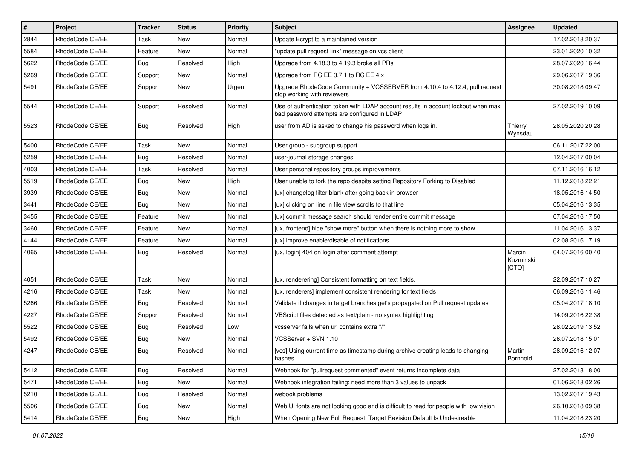| #    | Project         | <b>Tracker</b> | <b>Status</b> | <b>Priority</b> | <b>Subject</b>                                                                                                                    | <b>Assignee</b>              | <b>Updated</b>   |
|------|-----------------|----------------|---------------|-----------------|-----------------------------------------------------------------------------------------------------------------------------------|------------------------------|------------------|
| 2844 | RhodeCode CE/EE | Task           | New           | Normal          | Update Bcrypt to a maintained version                                                                                             |                              | 17.02.2018 20:37 |
| 5584 | RhodeCode CE/EE | Feature        | <b>New</b>    | Normal          | "update pull request link" message on vcs client                                                                                  |                              | 23.01.2020 10:32 |
| 5622 | RhodeCode CE/EE | Bug            | Resolved      | High            | Upgrade from 4.18.3 to 4.19.3 broke all PRs                                                                                       |                              | 28.07.2020 16:44 |
| 5269 | RhodeCode CE/EE | Support        | <b>New</b>    | Normal          | Upgrade from RC EE 3.7.1 to RC EE 4.x                                                                                             |                              | 29.06.2017 19:36 |
| 5491 | RhodeCode CE/EE | Support        | New           | Urgent          | Upgrade RhodeCode Community + VCSSERVER from 4.10.4 to 4.12.4, pull request<br>stop working with reviewers                        |                              | 30.08.2018 09:47 |
| 5544 | RhodeCode CE/EE | Support        | Resolved      | Normal          | Use of authentication token with LDAP account results in account lockout when max<br>bad password attempts are configured in LDAP |                              | 27.02.2019 10:09 |
| 5523 | RhodeCode CE/EE | Bug            | Resolved      | High            | user from AD is asked to change his password when logs in.                                                                        | Thierry<br>Wynsdau           | 28.05.2020 20:28 |
| 5400 | RhodeCode CE/EE | Task           | New           | Normal          | User group - subgroup support                                                                                                     |                              | 06.11.2017 22:00 |
| 5259 | RhodeCode CE/EE | Bug            | Resolved      | Normal          | user-journal storage changes                                                                                                      |                              | 12.04.2017 00:04 |
| 4003 | RhodeCode CE/EE | Task           | Resolved      | Normal          | User personal repository groups improvements                                                                                      |                              | 07.11.2016 16:12 |
| 5519 | RhodeCode CE/EE | Bug            | New           | High            | User unable to fork the repo despite setting Repository Forking to Disabled                                                       |                              | 11.12.2018 22:21 |
| 3939 | RhodeCode CE/EE | Bug            | New           | Normal          | [ux] changelog filter blank after going back in browser                                                                           |                              | 18.05.2016 14:50 |
| 3441 | RhodeCode CE/EE | Bug            | New           | Normal          | [ux] clicking on line in file view scrolls to that line                                                                           |                              | 05.04.2016 13:35 |
| 3455 | RhodeCode CE/EE | Feature        | <b>New</b>    | Normal          | [ux] commit message search should render entire commit message                                                                    |                              | 07.04.2016 17:50 |
| 3460 | RhodeCode CE/EE | Feature        | <b>New</b>    | Normal          | [ux, frontend] hide "show more" button when there is nothing more to show                                                         |                              | 11.04.2016 13:37 |
| 4144 | RhodeCode CE/EE | Feature        | New           | Normal          | Tux1 improve enable/disable of notifications                                                                                      |                              | 02.08.2016 17:19 |
| 4065 | RhodeCode CE/EE | Bug            | Resolved      | Normal          | [ux, login] 404 on login after comment attempt                                                                                    | Marcin<br>Kuzminski<br>[CTO] | 04.07.2016 00:40 |
| 4051 | RhodeCode CE/EE | Task           | <b>New</b>    | Normal          | [ux, renderering] Consistent formatting on text fields.                                                                           |                              | 22.09.2017 10:27 |
| 4216 | RhodeCode CE/EE | Task           | New           | Normal          | [ux, renderers] implement consistent rendering for text fields                                                                    |                              | 06.09.2016 11:46 |
| 5266 | RhodeCode CE/EE | Bug            | Resolved      | Normal          | Validate if changes in target branches get's propagated on Pull request updates                                                   |                              | 05.04.2017 18:10 |
| 4227 | RhodeCode CE/EE | Support        | Resolved      | Normal          | VBScript files detected as text/plain - no syntax highlighting                                                                    |                              | 14.09.2016 22:38 |
| 5522 | RhodeCode CE/EE | Bug            | Resolved      | Low             | vcsserver fails when url contains extra "/"                                                                                       |                              | 28.02.2019 13:52 |
| 5492 | RhodeCode CE/EE | Bug            | <b>New</b>    | Normal          | VCSServer + SVN 1.10                                                                                                              |                              | 26.07.2018 15:01 |
| 4247 | RhodeCode CE/EE | Bug            | Resolved      | Normal          | [vcs] Using current time as timestamp during archive creating leads to changing<br>hashes                                         | Martin<br>Bornhold           | 28.09.2016 12:07 |
| 5412 | RhodeCode CE/EE | Bug            | Resolved      | Normal          | Webhook for "pullrequest commented" event returns incomplete data                                                                 |                              | 27.02.2018 18:00 |
| 5471 | RhodeCode CE/EE | <b>Bug</b>     | New           | Normal          | Webhook integration failing: need more than 3 values to unpack                                                                    |                              | 01.06.2018 02:26 |
| 5210 | RhodeCode CE/EE | <b>Bug</b>     | Resolved      | Normal          | webook problems                                                                                                                   |                              | 13.02.2017 19:43 |
| 5506 | RhodeCode CE/EE | Bug            | New           | Normal          | Web UI fonts are not looking good and is difficult to read for people with low vision                                             |                              | 26.10.2018 09:38 |
| 5414 | RhodeCode CE/EE | Bug            | New           | High            | When Opening New Pull Request, Target Revision Default Is Undesireable                                                            |                              | 11.04.2018 23:20 |